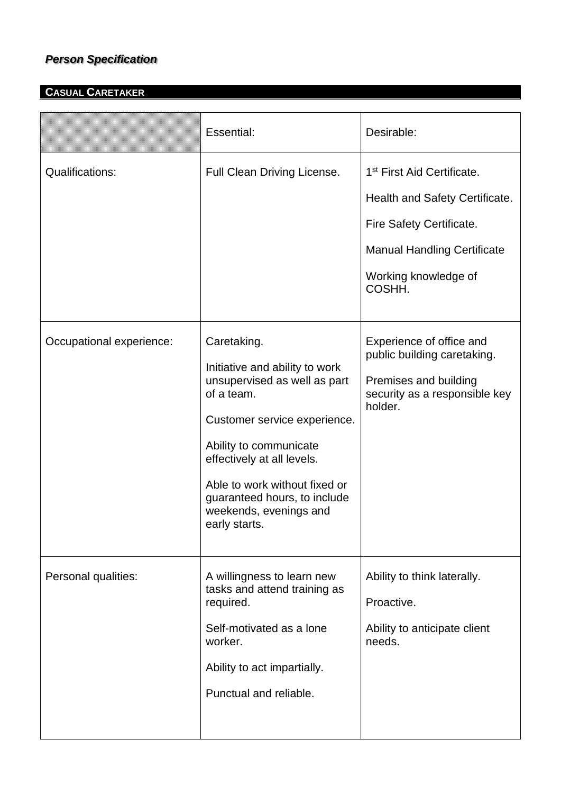## *Person Specification*

## **CASUAL CARETAKER**

|                          | Essential:                                                                                                                                                                                                                                                                                      | Desirable:                                                                                                                                                                   |
|--------------------------|-------------------------------------------------------------------------------------------------------------------------------------------------------------------------------------------------------------------------------------------------------------------------------------------------|------------------------------------------------------------------------------------------------------------------------------------------------------------------------------|
| <b>Qualifications:</b>   | Full Clean Driving License.                                                                                                                                                                                                                                                                     | 1 <sup>st</sup> First Aid Certificate.<br>Health and Safety Certificate.<br>Fire Safety Certificate.<br><b>Manual Handling Certificate</b><br>Working knowledge of<br>COSHH. |
| Occupational experience: | Caretaking.<br>Initiative and ability to work<br>unsupervised as well as part<br>of a team.<br>Customer service experience.<br>Ability to communicate<br>effectively at all levels.<br>Able to work without fixed or<br>guaranteed hours, to include<br>weekends, evenings and<br>early starts. | Experience of office and<br>public building caretaking.<br>Premises and building<br>security as a responsible key<br>holder.                                                 |
| Personal qualities:      | A willingness to learn new<br>tasks and attend training as<br>required.<br>Self-motivated as a lone<br>worker.<br>Ability to act impartially.<br>Punctual and reliable.                                                                                                                         | Ability to think laterally.<br>Proactive.<br>Ability to anticipate client<br>needs.                                                                                          |